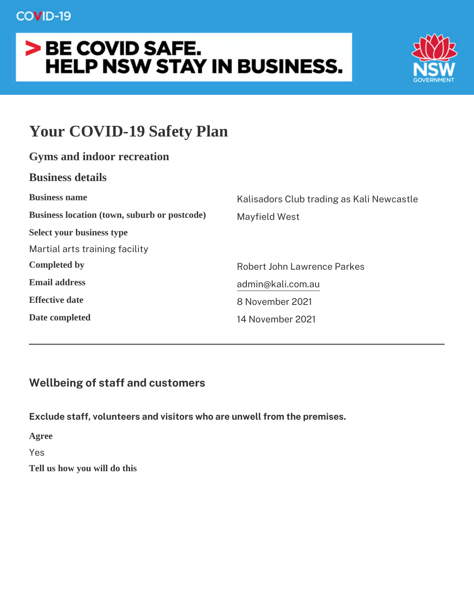# Your COVID-19 Safety Plan

| Gyms and indoor recreation                   |                                     |
|----------------------------------------------|-------------------------------------|
| <b>Business details</b>                      |                                     |
| <b>Business name</b>                         | Kalisadors Club trading as Kali New |
| Business location (town, suburb or postcode) | Mayfield West                       |
| Select your business type                    |                                     |
| Martial arts training facility               |                                     |
| Completed by                                 | Robert John Lawrence Parkes         |
| Email address                                | admin@kali.com.au                   |
| Effective date                               | 8 November 2021                     |
| Date completed                               | 14 November 2021                    |
|                                              |                                     |

Wellbeing of staff and customers

Exclude staff, volunteers and visitors who are unwell from the prer Agree Yes

Tell us how you will do this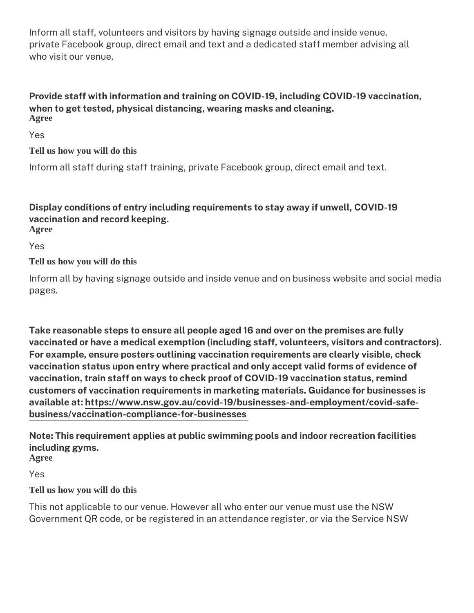Inform all staff, volunteers and visitors by having signage outside private Facebook group, direct email and text and a dedicated staf who visit our venue.

Provide staff with information and training on COVID-19, including when to get tested, physical distancing, wearing masks and cleaning Agree

Yes

Tell us how you will do this

Inform all staff during staff training, private Facebook group, dired

Display conditions of entry including requirements to stay away if vaccination and record keeping. Agree

Yes

Tell us how you will do this

Inform all by having signage outside and inside venue and mend bausines pages.

Take reasonable steps to ensure all people aged 16 and over on th vaccinated or have a medical exemption (including staff, volunteer For example, ensure posters outlining vaccination requirements are vaccination status upon entry where practical and only accept valid vaccination, train staff on ways to check proof of COVID-19 vaccin customers of vaccination requirements in marketing materials. Guid availablehtatps://www.nsw.gov.au/covid-19/businesses-and-employme [business/vaccination-compliance-](https://www.nsw.gov.au/covid-19/businesses-and-employment/covid-safe-business/vaccination-compliance-for-businesses)for-businesses

Note: This requirement applies at public swimming pools and indoo including gyms. Agree

Yes

Tell us how you will do this

This not applicable to our venue. However all who enter our venue Government QR code, or be registered in an attendance register, o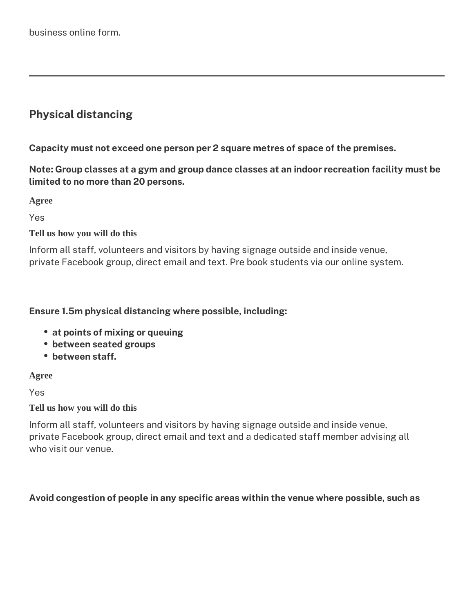# **Physical distancing**

**Capacity must not exceed one person per 2 square metres of space of the premises.**

**Note: Group classes at a gym and group dance classes at an indoor recreation facility must be limited to no more than 20 persons.**

**Agree**

Yes

### **Tell us how you will do this**

Inform all staff, volunteers and visitors by having signage outside and inside venue, private Facebook group, direct email and text. Pre book students via our online system.

### **Ensure 1.5m physical distancing where possible, including:**

- **at points of mixing or queuing**
- **between seated groups**
- **between staff.**

### **Agree**

Yes

### **Tell us how you will do this**

Inform all staff, volunteers and visitors by having signage outside and inside venue, private Facebook group, direct email and text and a dedicated staff member advising all who visit our venue.

### **Avoid congestion of people in any specific areas within the venue where possible, such as**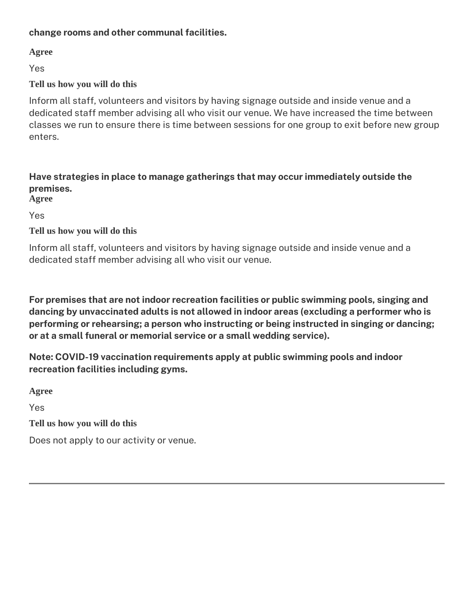### **change rooms and other communal facilities.**

**Agree**

Yes

### **Tell us how you will do this**

Inform all staff, volunteers and visitors by having signage outside and inside venue and a dedicated staff member advising all who visit our venue. We have increased the time between classes we run to ensure there is time between sessions for one group to exit before new group enters.

#### **Have strategies in place to manage gatherings that may occur immediately outside the premises. Agree**

Yes

### **Tell us how you will do this**

Inform all staff, volunteers and visitors by having signage outside and inside venue and a dedicated staff member advising all who visit our venue.

**For premises that are not indoor recreation facilities or public swimming pools, singing and dancing by unvaccinated adults is not allowed in indoor areas (excluding a performer who is performing or rehearsing; a person who instructing or being instructed in singing or dancing; or at a small funeral or memorial service or a small wedding service).**

**Note: COVID-19 vaccination requirements apply at public swimming pools and indoor recreation facilities including gyms.**

**Agree**

Yes

**Tell us how you will do this**

Does not apply to our activity or venue.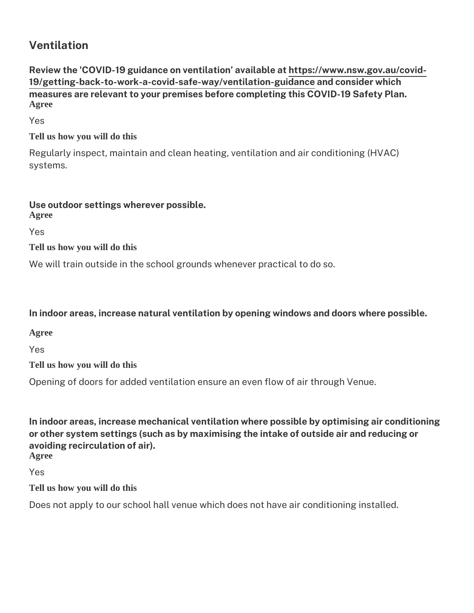Ventilation

Review the 'COVID-19 guidance on venthit apison of wawwail has bood and covid-[19/getting-back-to-work-a-covid-safe-way/v](https://www.nsw.gov.au/covid-19/getting-back-to-work-a-covid-safe-way/ventilation-guidance)eantidlactoionsigherid wannicoa h measures are relevant to your premises before completing this COV Agree

Yes

Tell us how you will do this

Regularly inspect, maintain and clean heating, ventilation and air systems.

Use outdoor settings wherever possible. Agree

Yes

Tell us how you will do this

We will train outside in the school grounds whenever practical to d

In indoor areas, increase natural ventilation by opening windows a

Agree

Yes

Tell us how you will do this

Opening of doors for added ventilation ensure an even flow of air to

In indoor areas, increase mechanical ventilation where possible by or other system settings (such as by maximising the intake of outs avoiding recirculation of air). Agree

Yes

Tell us how you will do this

Does not apply to our school hall venue which does not have air co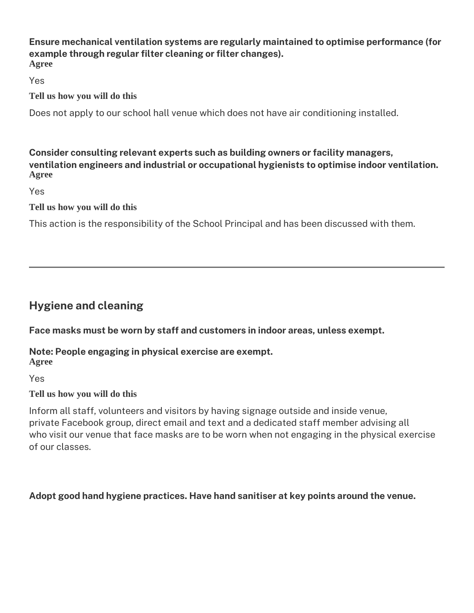#### **Ensure mechanical ventilation systems are regularly maintained to optimise performance (for example through regular filter cleaning or filter changes). Agree**

Yes

**Tell us how you will do this**

Does not apply to our school hall venue which does not have air conditioning installed.

### **Consider consulting relevant experts such as building owners or facility managers, ventilation engineers and industrial or occupational hygienists to optimise indoor ventilation. Agree**

Yes

**Tell us how you will do this**

This action is the responsibility of the School Principal and has been discussed with them.

# **Hygiene and cleaning**

**Face masks must be worn by staff and customers in indoor areas, unless exempt.** 

### **Note: People engaging in physical exercise are exempt. Agree**

Yes

### **Tell us how you will do this**

Inform all staff, volunteers and visitors by having signage outside and inside venue, private Facebook group, direct email and text and a dedicated staff member advising all who visit our venue that face masks are to be worn when not engaging in the physical exercise of our classes.

### **Adopt good hand hygiene practices. Have hand sanitiser at key points around the venue.**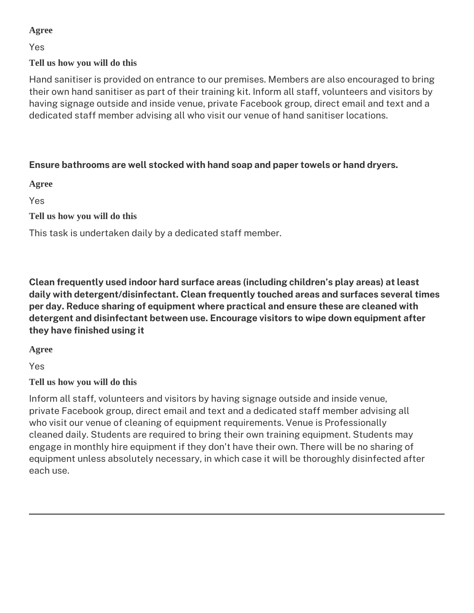### **Agree**

Yes

### **Tell us how you will do this**

Hand sanitiser is provided on entrance to our premises. Members are also encouraged to bring their own hand sanitiser as part of their training kit. Inform all staff, volunteers and visitors by having signage outside and inside venue, private Facebook group, direct email and text and a dedicated staff member advising all who visit our venue of hand sanitiser locations.

### **Ensure bathrooms are well stocked with hand soap and paper towels or hand dryers.**

**Agree**

Yes

### **Tell us how you will do this**

This task is undertaken daily by a dedicated staff member.

**Clean frequently used indoor hard surface areas (including children's play areas) at least daily with detergent/disinfectant. Clean frequently touched areas and surfaces several times per day. Reduce sharing of equipment where practical and ensure these are cleaned with detergent and disinfectant between use. Encourage visitors to wipe down equipment after they have finished using it**

**Agree**

Yes

### **Tell us how you will do this**

Inform all staff, volunteers and visitors by having signage outside and inside venue, private Facebook group, direct email and text and a dedicated staff member advising all who visit our venue of cleaning of equipment requirements. Venue is Professionally cleaned daily. Students are required to bring their own training equipment. Students may engage in monthly hire equipment if they don't have their own. There will be no sharing of equipment unless absolutely necessary, in which case it will be thoroughly disinfected after each use.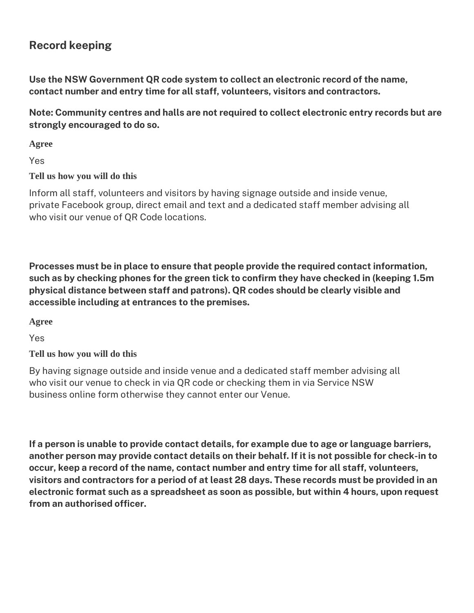## **Record keeping**

**Use the NSW Government QR code system to collect an electronic record of the name, contact number and entry time for all staff, volunteers, visitors and contractors.**

**Note: Community centres and halls are not required to collect electronic entry records but are strongly encouraged to do so.**

**Agree**

Yes

**Tell us how you will do this**

Inform all staff, volunteers and visitors by having signage outside and inside venue, private Facebook group, direct email and text and a dedicated staff member advising all who visit our venue of QR Code locations.

**Processes must be in place to ensure that people provide the required contact information, such as by checking phones for the green tick to confirm they have checked in (keeping 1.5m physical distance between staff and patrons). QR codes should be clearly visible and accessible including at entrances to the premises.**

**Agree**

Yes

**Tell us how you will do this**

By having signage outside and inside venue and a dedicated staff member advising all who visit our venue to check in via QR code or checking them in via Service NSW business online form otherwise they cannot enter our Venue.

**If a person is unable to provide contact details, for example due to age or language barriers, another person may provide contact details on their behalf. If it is not possible for check-in to occur, keep a record of the name, contact number and entry time for all staff, volunteers, visitors and contractors for a period of at least 28 days. These records must be provided in an electronic format such as a spreadsheet as soon as possible, but within 4 hours, upon request from an authorised officer.**